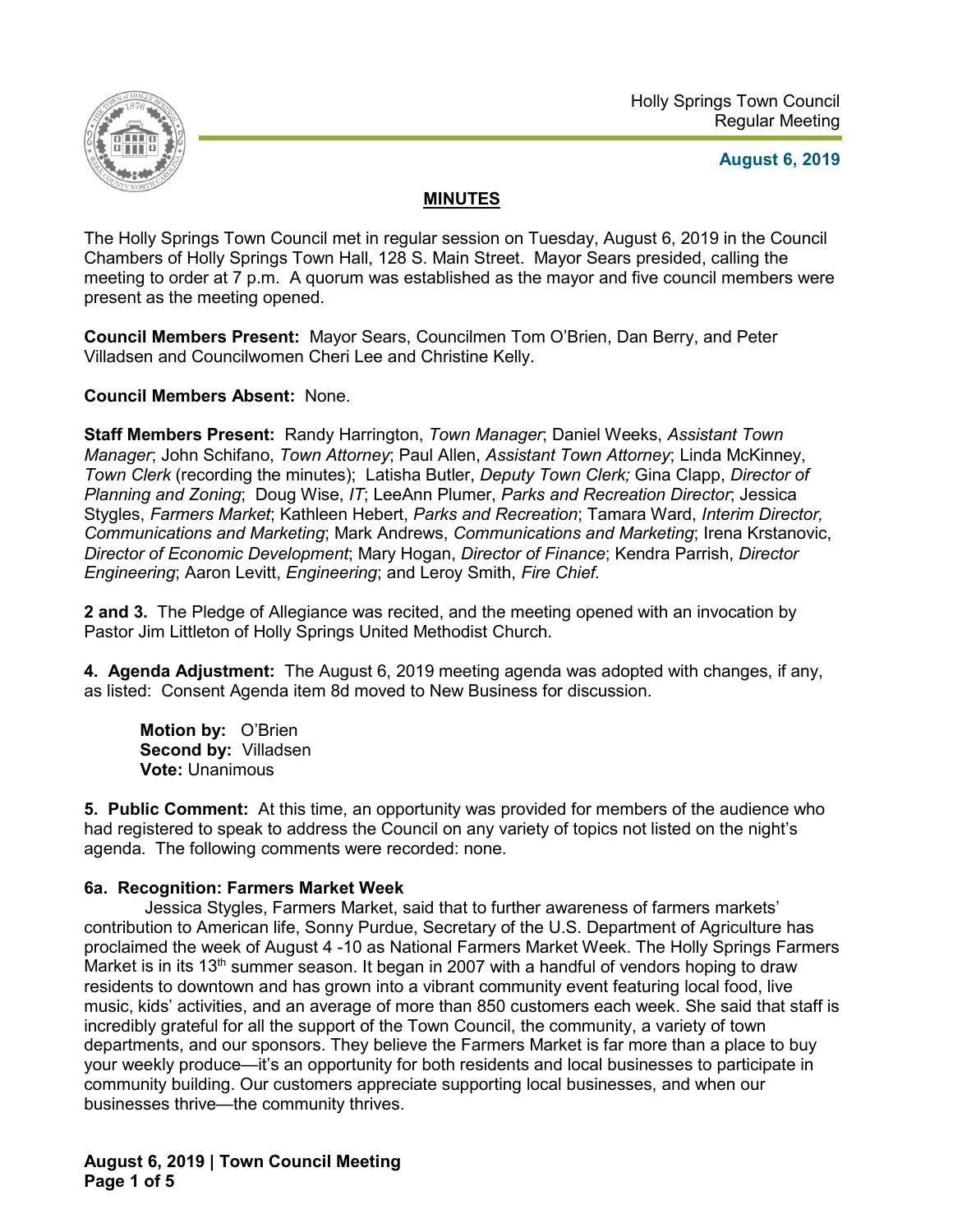

## **August 6, 2019**

# **MINUTES**

The Holly Springs Town Council met in regular session on Tuesday, August 6, 2019 in the Council Chambers of Holly Springs Town Hall, 128 S. Main Street. Mayor Sears presided, calling the meeting to order at 7 p.m. A quorum was established as the mayor and five council members were present as the meeting opened.

**Council Members Present:** Mayor Sears, Councilmen Tom O'Brien, Dan Berry, and Peter Villadsen and Councilwomen Cheri Lee and Christine Kelly.

**Council Members Absent:** None.

**Staff Members Present:** Randy Harrington, *Town Manager*; Daniel Weeks, *Assistant Town Manager*; John Schifano, *Town Attorney*; Paul Allen, *Assistant Town Attorney*; Linda McKinney, *Town Clerk* (recording the minutes); Latisha Butler, *Deputy Town Clerk;* Gina Clapp, *Director of Planning and Zoning*; Doug Wise, *IT*; LeeAnn Plumer, *Parks and Recreation Director*; Jessica Stygles, *Farmers Market*; Kathleen Hebert, *Parks and Recreation*; Tamara Ward, *Interim Director, Communications and Marketing*; Mark Andrews, *Communications and Marketing*; Irena Krstanovic, *Director of Economic Development*; Mary Hogan, *Director of Finance*; Kendra Parrish, *Director Engineering*; Aaron Levitt, *Engineering*; and Leroy Smith, *Fire Chief.*

**2 and 3.** The Pledge of Allegiance was recited, and the meeting opened with an invocation by Pastor Jim Littleton of Holly Springs United Methodist Church.

**4. Agenda Adjustment:** The August 6, 2019 meeting agenda was adopted with changes, if any, as listed: Consent Agenda item 8d moved to New Business for discussion.

**Motion by:** O'Brien **Second by:** Villadsen **Vote:** Unanimous

**5. Public Comment:** At this time, an opportunity was provided for members of the audience who had registered to speak to address the Council on any variety of topics not listed on the night's agenda. The following comments were recorded: none.

### **6a. Recognition: Farmers Market Week**

Jessica Stygles, Farmers Market, said that to further awareness of farmers markets' contribution to American life, Sonny Purdue, Secretary of the U.S. Department of Agriculture has proclaimed the week of August 4 -10 as National Farmers Market Week. The Holly Springs Farmers Market is in its  $13<sup>th</sup>$  summer season. It began in 2007 with a handful of vendors hoping to draw residents to downtown and has grown into a vibrant community event featuring local food, live music, kids' activities, and an average of more than 850 customers each week. She said that staff is incredibly grateful for all the support of the Town Council, the community, a variety of town departments, and our sponsors. They believe the Farmers Market is far more than a place to buy your weekly produce—it's an opportunity for both residents and local businesses to participate in community building. Our customers appreciate supporting local businesses, and when our businesses thrive—the community thrives.

**August 6, 2019 | Town Council Meeting Page 1 of 5**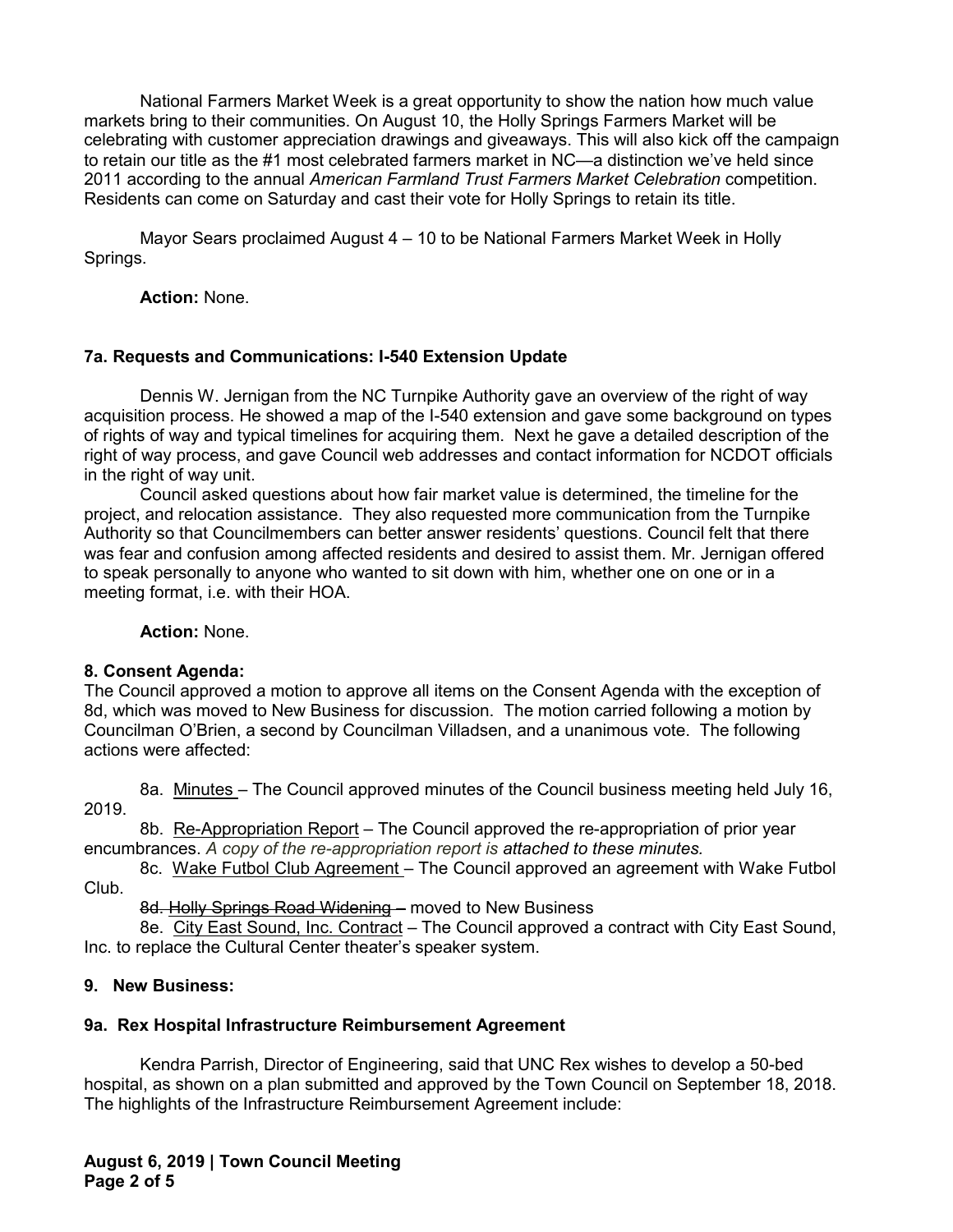National Farmers Market Week is a great opportunity to show the nation how much value markets bring to their communities. On August 10, the Holly Springs Farmers Market will be celebrating with customer appreciation drawings and giveaways. This will also kick off the campaign to retain our title as the #1 most celebrated farmers market in NC—a distinction we've held since 2011 according to the annual *American Farmland Trust Farmers Market Celebration* competition. Residents can come on Saturday and cast their vote for Holly Springs to retain its title.

Mayor Sears proclaimed August 4 – 10 to be National Farmers Market Week in Holly Springs.

**Action:** None.

### **7a. Requests and Communications: I-540 Extension Update**

Dennis W. Jernigan from the NC Turnpike Authority gave an overview of the right of way acquisition process. He showed a map of the I-540 extension and gave some background on types of rights of way and typical timelines for acquiring them. Next he gave a detailed description of the right of way process, and gave Council web addresses and contact information for NCDOT officials in the right of way unit.

Council asked questions about how fair market value is determined, the timeline for the project, and relocation assistance. They also requested more communication from the Turnpike Authority so that Councilmembers can better answer residents' questions. Council felt that there was fear and confusion among affected residents and desired to assist them. Mr. Jernigan offered to speak personally to anyone who wanted to sit down with him, whether one on one or in a meeting format, i.e. with their HOA.

**Action:** None.

### **8. Consent Agenda:**

The Council approved a motion to approve all items on the Consent Agenda with the exception of 8d, which was moved to New Business for discussion. The motion carried following a motion by Councilman O'Brien, a second by Councilman Villadsen, and a unanimous vote. The following actions were affected:

8a. Minutes – The Council approved minutes of the Council business meeting held July 16, 2019.

8b. Re-Appropriation Report – The Council approved the re-appropriation of prior year encumbrances. *A copy of the re-appropriation report is attached to these minutes.* 

8c. Wake Futbol Club Agreement – The Council approved an agreement with Wake Futbol Club.

8d. Holly Springs Road Widening - moved to New Business

8e. City East Sound, Inc. Contract – The Council approved a contract with City East Sound, Inc. to replace the Cultural Center theater's speaker system.

### **9. New Business:**

### **9a. Rex Hospital Infrastructure Reimbursement Agreement**

Kendra Parrish, Director of Engineering, said that UNC Rex wishes to develop a 50-bed hospital, as shown on a plan submitted and approved by the Town Council on September 18, 2018. The highlights of the Infrastructure Reimbursement Agreement include: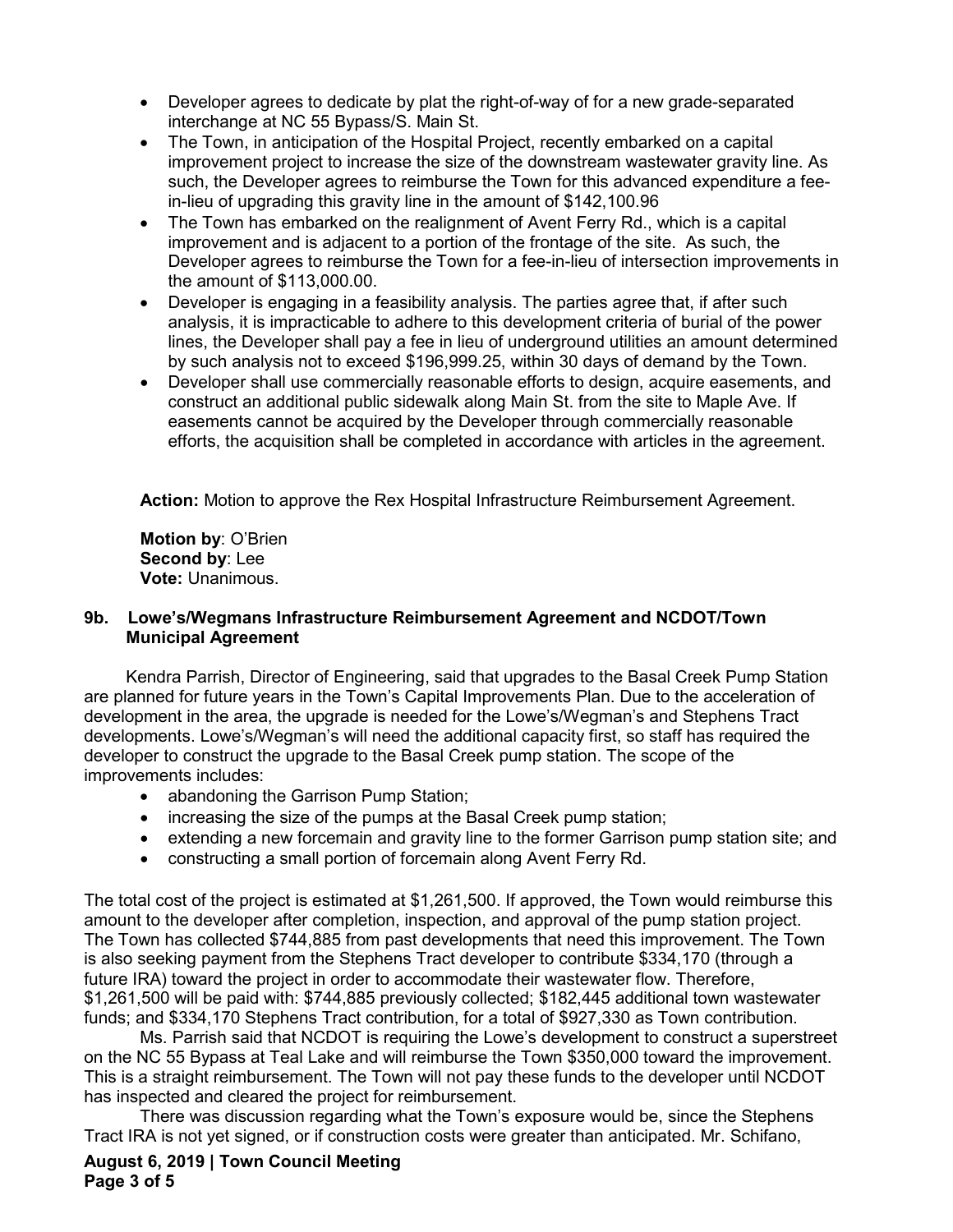- Developer agrees to dedicate by plat the right-of-way of for a new grade-separated interchange at NC 55 Bypass/S. Main St.
- The Town, in anticipation of the Hospital Project, recently embarked on a capital improvement project to increase the size of the downstream wastewater gravity line. As such, the Developer agrees to reimburse the Town for this advanced expenditure a feein-lieu of upgrading this gravity line in the amount of \$142,100.96
- The Town has embarked on the realignment of Avent Ferry Rd., which is a capital improvement and is adjacent to a portion of the frontage of the site. As such, the Developer agrees to reimburse the Town for a fee-in-lieu of intersection improvements in the amount of \$113,000.00.
- Developer is engaging in a feasibility analysis. The parties agree that, if after such analysis, it is impracticable to adhere to this development criteria of burial of the power lines, the Developer shall pay a fee in lieu of underground utilities an amount determined by such analysis not to exceed \$196,999.25, within 30 days of demand by the Town.
- Developer shall use commercially reasonable efforts to design, acquire easements, and construct an additional public sidewalk along Main St. from the site to Maple Ave. If easements cannot be acquired by the Developer through commercially reasonable efforts, the acquisition shall be completed in accordance with articles in the agreement.

**Action:** Motion to approve the Rex Hospital Infrastructure Reimbursement Agreement.

**Motion by**: O'Brien **Second by**: Lee **Vote:** Unanimous.

### **9b. Lowe's/Wegmans Infrastructure Reimbursement Agreement and NCDOT/Town Municipal Agreement**

Kendra Parrish, Director of Engineering, said that upgrades to the Basal Creek Pump Station are planned for future years in the Town's Capital Improvements Plan. Due to the acceleration of development in the area, the upgrade is needed for the Lowe's/Wegman's and Stephens Tract developments. Lowe's/Wegman's will need the additional capacity first, so staff has required the developer to construct the upgrade to the Basal Creek pump station. The scope of the improvements includes:

- abandoning the Garrison Pump Station;
- increasing the size of the pumps at the Basal Creek pump station;
- extending a new forcemain and gravity line to the former Garrison pump station site; and
- constructing a small portion of forcemain along Avent Ferry Rd.

The total cost of the project is estimated at \$1,261,500. If approved, the Town would reimburse this amount to the developer after completion, inspection, and approval of the pump station project. The Town has collected \$744,885 from past developments that need this improvement. The Town is also seeking payment from the Stephens Tract developer to contribute \$334,170 (through a future IRA) toward the project in order to accommodate their wastewater flow. Therefore, \$1,261,500 will be paid with: \$744,885 previously collected; \$182,445 additional town wastewater funds; and \$334,170 Stephens Tract contribution, for a total of \$927,330 as Town contribution.

Ms. Parrish said that NCDOT is requiring the Lowe's development to construct a superstreet on the NC 55 Bypass at Teal Lake and will reimburse the Town \$350,000 toward the improvement. This is a straight reimbursement. The Town will not pay these funds to the developer until NCDOT has inspected and cleared the project for reimbursement.

There was discussion regarding what the Town's exposure would be, since the Stephens Tract IRA is not yet signed, or if construction costs were greater than anticipated. Mr. Schifano,

**August 6, 2019 | Town Council Meeting Page 3 of 5**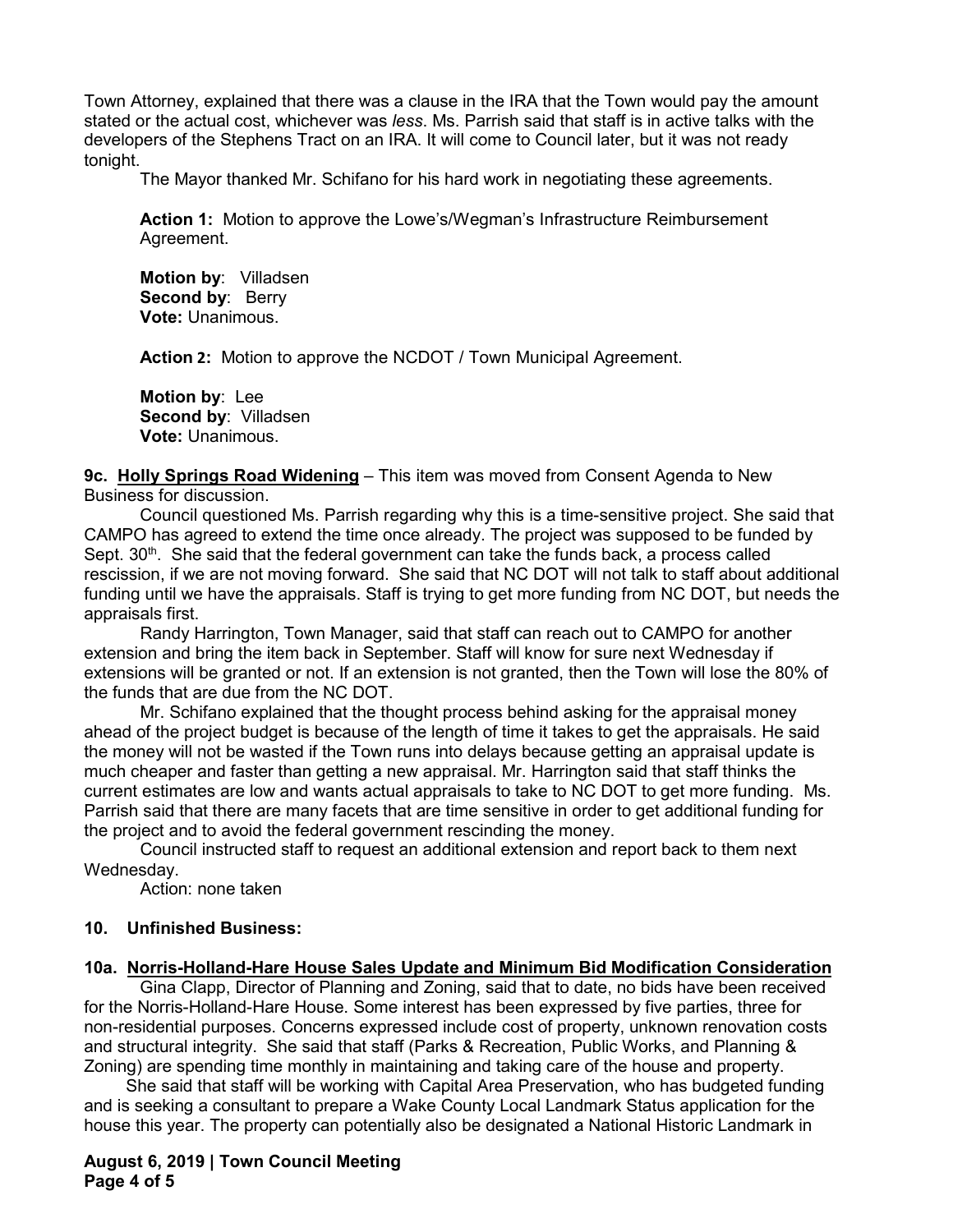Town Attorney, explained that there was a clause in the IRA that the Town would pay the amount stated or the actual cost, whichever was *less*. Ms. Parrish said that staff is in active talks with the developers of the Stephens Tract on an IRA. It will come to Council later, but it was not ready tonight.

The Mayor thanked Mr. Schifano for his hard work in negotiating these agreements.

**Action 1:** Motion to approve the Lowe's/Wegman's Infrastructure Reimbursement Agreement.

**Motion by**: Villadsen **Second by: Berry Vote:** Unanimous.

**Action 2:** Motion to approve the NCDOT / Town Municipal Agreement.

**Motion by**: Lee **Second by**: Villadsen **Vote:** Unanimous.

#### **9c. Holly Springs Road Widening** – This item was moved from Consent Agenda to New Business for discussion.

Council questioned Ms. Parrish regarding why this is a time-sensitive project. She said that CAMPO has agreed to extend the time once already. The project was supposed to be funded by Sept.  $30<sup>th</sup>$ . She said that the federal government can take the funds back, a process called rescission, if we are not moving forward. She said that NC DOT will not talk to staff about additional funding until we have the appraisals. Staff is trying to get more funding from NC DOT, but needs the appraisals first.

Randy Harrington, Town Manager, said that staff can reach out to CAMPO for another extension and bring the item back in September. Staff will know for sure next Wednesday if extensions will be granted or not. If an extension is not granted, then the Town will lose the 80% of the funds that are due from the NC DOT.

Mr. Schifano explained that the thought process behind asking for the appraisal money ahead of the project budget is because of the length of time it takes to get the appraisals. He said the money will not be wasted if the Town runs into delays because getting an appraisal update is much cheaper and faster than getting a new appraisal. Mr. Harrington said that staff thinks the current estimates are low and wants actual appraisals to take to NC DOT to get more funding. Ms. Parrish said that there are many facets that are time sensitive in order to get additional funding for the project and to avoid the federal government rescinding the money.

Council instructed staff to request an additional extension and report back to them next Wednesday.

Action: none taken

#### **10. Unfinished Business:**

#### **10a. Norris-Holland-Hare House Sales Update and Minimum Bid Modification Consideration**

Gina Clapp, Director of Planning and Zoning, said that to date, no bids have been received for the Norris-Holland-Hare House. Some interest has been expressed by five parties, three for non-residential purposes. Concerns expressed include cost of property, unknown renovation costs and structural integrity. She said that staff (Parks & Recreation, Public Works, and Planning & Zoning) are spending time monthly in maintaining and taking care of the house and property.

She said that staff will be working with Capital Area Preservation, who has budgeted funding and is seeking a consultant to prepare a Wake County Local Landmark Status application for the house this year. The property can potentially also be designated a National Historic Landmark in

#### **August 6, 2019 | Town Council Meeting Page 4 of 5**